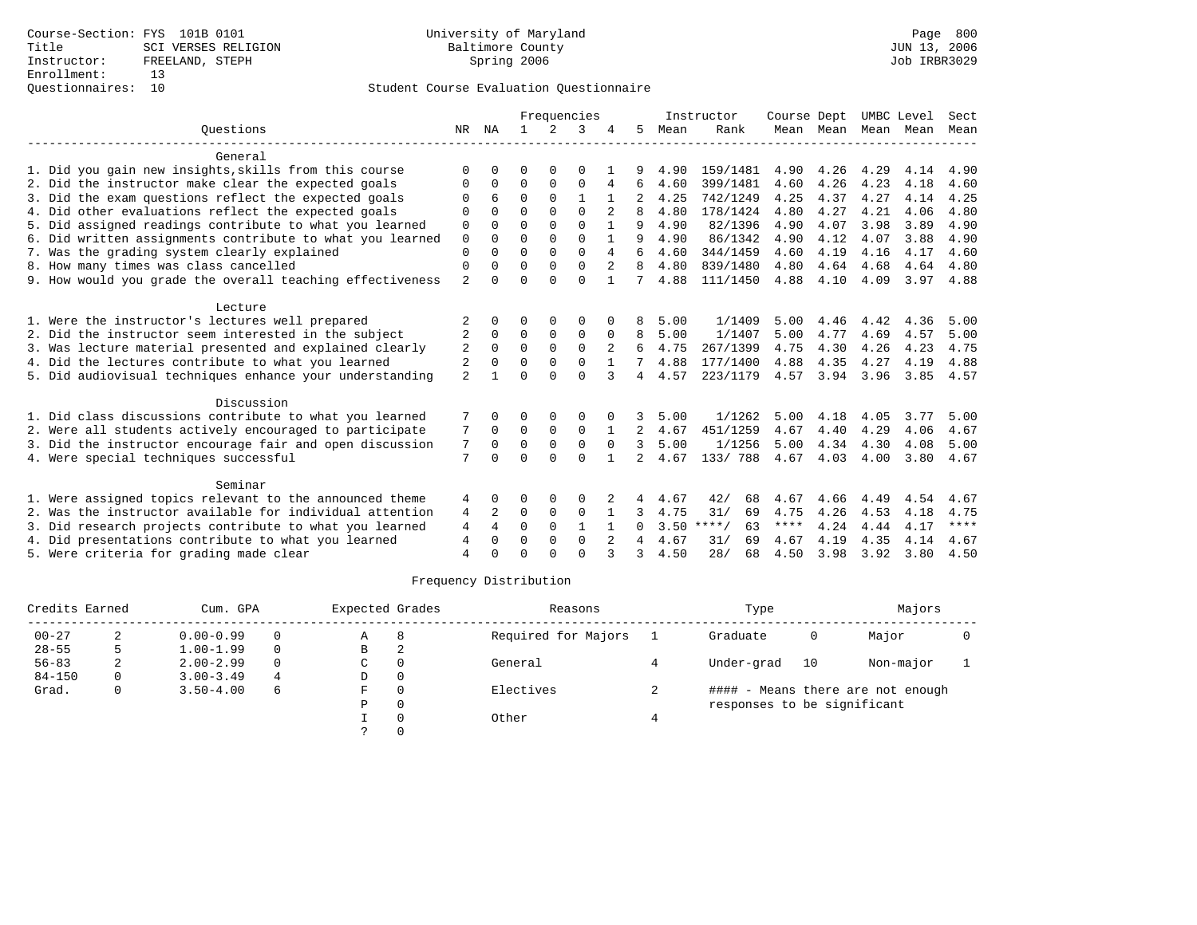## Student Course Evaluation Questionnaire

|                                                           |                |                | Frequencies  |               |              |              |                |      | Instructor    | Course Dept |           | UMBC Level |      | Sect        |
|-----------------------------------------------------------|----------------|----------------|--------------|---------------|--------------|--------------|----------------|------|---------------|-------------|-----------|------------|------|-------------|
| Ouestions                                                 | NR             | NA             | $\mathbf{1}$ | $\mathcal{L}$ | 3            |              | 5.             | Mean | Rank          |             | Mean Mean | Mean       | Mean | Mean        |
| General                                                   |                |                |              |               |              |              |                |      |               |             |           |            |      |             |
| 1. Did you gain new insights, skills from this course     | $\Omega$       | O              | O            | $\Omega$      | $\Omega$     |              |                | 4.90 | 159/1481      | 4.90        | 4.26      | 4.29       | 4.14 | 4.90        |
| 2. Did the instructor make clear the expected goals       | $\Omega$       | 0              | $\Omega$     | $\Omega$      | $\Omega$     | 4            | 6              | 4.60 | 399/1481      | 4.60        | 4.26      | 4.23       | 4.18 | 4.60        |
| 3. Did the exam questions reflect the expected goals      | $\Omega$       | 6              | $\Omega$     | $\Omega$      | 1            |              |                | 4.25 | 742/1249      | 4.25        | 4.37      | 4.27       | 4.14 | 4.25        |
| 4. Did other evaluations reflect the expected goals       | $\Omega$       | U              | $\Omega$     | $\Omega$      | $\Omega$     |              | 8              | 4.80 | 178/1424      | 4.80        | 4.27      | 4.21       | 4.06 | 4.80        |
| 5. Did assigned readings contribute to what you learned   | 0              | $\Omega$       | $\Omega$     | $\Omega$      | $\Omega$     |              | 9              | 4.90 | 82/1396       | 4.90        | 4.07      | 3.98       | 3.89 | 4.90        |
| 6. Did written assignments contribute to what you learned | $\mathbf 0$    | $\Omega$       | $\Omega$     | $\Omega$      | $\cap$       |              | q              | 4.90 | 86/1342       | 4.90        | 4.12      | 4.07       | 3.88 | 4.90        |
| 7. Was the grading system clearly explained               | $\mathbf 0$    | $\Omega$       | $\Omega$     | $\Omega$      | $\Omega$     | 4            |                | 4.60 | 344/1459      | 4.60        | 4.19      | 4.16       | 4.17 | 4.60        |
| 8. How many times was class cancelled                     | $\mathbf 0$    | 0              | $\Omega$     | $\Omega$      | $\Omega$     |              | 8              | 4.80 | 839/1480      | 4.80        | 4.64      | 4.68       | 4.64 | 4.80        |
| 9. How would you grade the overall teaching effectiveness | $\mathfrak{D}$ | $\Omega$       | $\Omega$     | $\Omega$      | $\Omega$     |              |                | 4.88 | 111/1450      | 4.88        | 4.10      | 4.09       | 3.97 | 4.88        |
| Lecture                                                   |                |                |              |               |              |              |                |      |               |             |           |            |      |             |
| 1. Were the instructor's lectures well prepared           | 2              | 0              | O            | $\Omega$      | $\Omega$     |              |                | 5.00 | 1/1409        | 5.00        | 4.46      | 4.42       | 4.36 | 5.00        |
| 2. Did the instructor seem interested in the subject      | 2              | $\Omega$       | 0            | 0             | $\mathbf 0$  | $\Omega$     | 8              | 5.00 | 1/1407        | 5.00        | 4.77      | 4.69       | 4.57 | 5.00        |
| 3. Was lecture material presented and explained clearly   | 2              | $\Omega$       | $\Omega$     | $\Omega$      | $\Omega$     | 2            | 6              | 4.75 | 267/1399      | 4.75        | 4.30      | 4.26       | 4.23 | 4.75        |
| 4. Did the lectures contribute to what you learned        | 2              | $\Omega$       | $\Omega$     | 0             | $\Omega$     | $\mathbf{1}$ |                | 4.88 | 177/1400      | 4.88        | 4.35      | 4.27       | 4.19 | 4.88        |
| 5. Did audiovisual techniques enhance your understanding  | $\overline{a}$ |                | $\cap$       | $\cap$        | $\Omega$     |              | 4              | 4.57 | 223/1179      | 4.57        | 3.94      | 3.96       | 3.85 | 4.57        |
| Discussion                                                |                |                |              |               |              |              |                |      |               |             |           |            |      |             |
| 1. Did class discussions contribute to what you learned   |                | <sup>0</sup>   | O            | $\Omega$      | $\Omega$     |              | 3              | 5.00 | 1/1262        | 5.00        | 4.18      | 4.05       | 3.77 | 5.00        |
| 2. Were all students actively encouraged to participate   | 7              | $\Omega$       | $\Omega$     | $\Omega$      | $\Omega$     |              |                | 4.67 | 451/1259      | 4.67        | 4.40      | 4.29       | 4.06 | 4.67        |
| 3. Did the instructor encourage fair and open discussion  | 7              | $\Omega$       | $\Omega$     | $\Omega$      | $\Omega$     | $\Omega$     | 3              | 5.00 | 1/1256        | 5.00        | 4.34      | 4.30       | 4.08 | 5.00        |
| 4. Were special techniques successful                     | 7              | O              | $\Omega$     | $\Omega$      | $\Omega$     |              | $\overline{2}$ | 4.67 | 133/788       | 4.67        | 4.03      | 4.00       | 3.80 | 4.67        |
| Seminar                                                   |                |                |              |               |              |              |                |      |               |             |           |            |      |             |
| 1. Were assigned topics relevant to the announced theme   | 4              | 0              | O            | 0             | $\Omega$     |              | 4              | 4.67 | 42/<br>68     | 4.67        | 4.66      | 4.49       | 4.54 | 4.67        |
| 2. Was the instructor available for individual attention  | 4              | 2              | 0            | 0             | $\mathbf 0$  |              | 3              | 4.75 | 31/<br>69     | 4.75        | 4.26      | 4.53       | 4.18 | 4.75        |
| 3. Did research projects contribute to what you learned   | $\overline{4}$ | $\overline{4}$ | $\Omega$     | $\Omega$      | $\mathbf{1}$ |              | <sup>0</sup>   | 3.50 | $***$ /<br>63 | ****        | 4.24      | 4.44       | 4.17 | $***$ * * * |
| 4. Did presentations contribute to what you learned       | 4              | 0              | $\Omega$     | $\Omega$      | $\mathbf 0$  |              |                | 4.67 | 31/<br>69     | 4.67        | 4.19      | 4.35       | 4.14 | 4.67        |
| 5. Were criteria for grading made clear                   | 4              | 0              | $\Omega$     | $\cap$        | $\Omega$     | 3            | 3              | 4.50 | 28/<br>68     | 4.50        | 3.98      | 3.92       | 3.80 | 4.50        |

# Frequency Distribution

| Credits Earned<br>Cum. GPA |   |               | Expected Grades |   | Reasons  | Type                | Majors                      |    |                                   |  |
|----------------------------|---|---------------|-----------------|---|----------|---------------------|-----------------------------|----|-----------------------------------|--|
| $00 - 27$                  |   | $0.00 - 0.99$ |                 | A | 8        | Required for Majors | Graduate                    | 0  | Major                             |  |
| $28 - 55$                  |   | $1.00 - 1.99$ |                 | B | 2        |                     |                             |    |                                   |  |
| $56 - 83$                  | ∠ | $2.00 - 2.99$ |                 | C | 0        | General             | Under-grad                  | 10 | Non-major                         |  |
| $84 - 150$                 | 0 | $3.00 - 3.49$ | 4               | D | $\Omega$ |                     |                             |    |                                   |  |
| Grad.                      | 0 | $3.50 - 4.00$ | 6               | F | $\Omega$ | Electives           |                             |    | #### - Means there are not enough |  |
|                            |   |               |                 | P | $\Omega$ |                     | responses to be significant |    |                                   |  |
|                            |   |               |                 |   | $\Omega$ | Other               |                             |    |                                   |  |
|                            |   |               |                 |   |          |                     |                             |    |                                   |  |